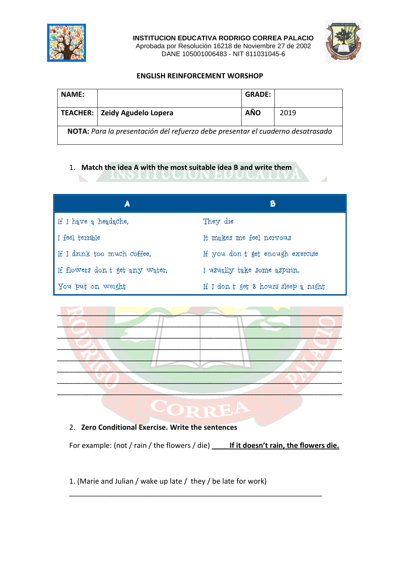

**INSTITUCION EDUCATIVA RODRIGO CORREA PALACIO** Aprobada por Resolución 16218 de Noviembre 27 de 2002 DANE 105001006483 - NIT 811031045-6



## **ENGLISH REINFORCEMENT WORSHOP**

| <b>NAME:</b>                                                                   |                                 | <b>GRADE:</b> |      |  |
|--------------------------------------------------------------------------------|---------------------------------|---------------|------|--|
|                                                                                | TEACHER:   Zeidy Agudelo Lopera | AÑO           | 2019 |  |
| NOTA: Para la presentación del refuerzo debe presentar el cuaderno desatrasado |                                 |               |      |  |

## 1. **Match the idea A with the most suitable idea B and write them**

| A                               | B                                    |
|---------------------------------|--------------------------------------|
| If I have a headache,           | They die                             |
| I feel terrible                 | It makes me feel nervous             |
| If I drink too much coffee,     | If you don t get enough exercise     |
| If flowers don t get any water, | I usually take some aspirin.         |
| You put on weight               | If I don t get 8 hours sleep a night |



## RR

## 2. **Zero Conditional Exercise. Write the sentences**

For example: (not / rain / the flowers / die) **\_\_\_\_ If it doesn't rain, the flowers die.**

\_\_\_\_\_\_\_\_\_\_\_\_\_\_\_\_\_\_\_\_\_\_\_\_\_\_\_\_\_\_\_\_\_\_\_\_\_\_\_\_\_\_\_\_\_\_\_\_\_\_\_\_\_\_\_\_\_\_\_\_\_\_\_

1. (Marie and Julian / wake up late / they / be late for work)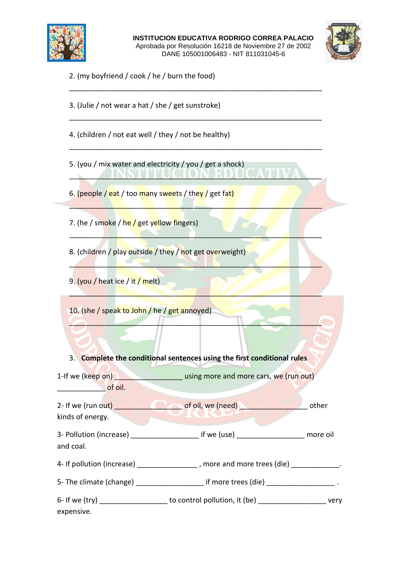

**INSTITUCION EDUCATIVA RODRIGO CORREA PALACIO** Aprobada por Resolución 16218 de Noviembre 27 de 2002 DANE 105001006483 - NIT 811031045-6

\_\_\_\_\_\_\_\_\_\_\_\_\_\_\_\_\_\_\_\_\_\_\_\_\_\_\_\_\_\_\_\_\_\_\_\_\_\_\_\_\_\_\_\_\_\_\_\_\_\_\_\_\_\_\_\_\_\_\_\_\_\_\_

\_\_\_\_\_\_\_\_\_\_\_\_\_\_\_\_\_\_\_\_\_\_\_\_\_\_\_\_\_\_\_\_\_\_\_\_\_\_\_\_\_\_\_\_\_\_\_\_\_\_\_\_\_\_\_\_\_\_\_\_\_\_\_

\_\_\_\_\_\_\_\_\_\_\_\_\_\_\_\_\_\_\_\_\_\_\_\_\_\_\_\_\_\_\_\_\_\_\_\_\_\_\_\_\_\_\_\_\_\_\_\_\_\_\_\_\_\_\_\_\_\_\_\_\_\_\_

 $\blacksquare$  INSIII UCIUN EDUCATIVA

 $\mathcal{L} = \mathcal{L} \mathcal{L} + \mathcal{L} \mathcal{L} + \mathcal{L} \mathcal{L} + \mathcal{L} \mathcal{L} + \mathcal{L} \mathcal{L} + \mathcal{L} \mathcal{L} + \mathcal{L} \mathcal{L} + \mathcal{L} \mathcal{L} + \mathcal{L} \mathcal{L} + \mathcal{L} \mathcal{L} + \mathcal{L} \mathcal{L} + \mathcal{L} \mathcal{L} + \mathcal{L} \mathcal{L} + \mathcal{L} \mathcal{L} + \mathcal{L} \mathcal{L} + \mathcal{L} \mathcal{L} + \mathcal{L$ 

 $\Box$ 

\_\_\_\_\_\_\_\_\_\_\_\_\_\_\_\_\_\_\_\_\_\_\_\_\_\_\_\_\_\_\_\_\_\_\_\_\_\_\_\_\_\_\_\_\_\_\_\_\_\_\_\_\_\_\_\_\_\_\_\_\_\_\_

 $\mathcal{L} = \mathcal{L} \mathcal{L} = \mathcal{L} \mathcal{L} \mathcal{L} = \mathcal{L} \mathcal{L} \mathcal{L} \mathcal{L} = \mathcal{L} \mathcal{L} \mathcal{L} \mathcal{L} = \mathcal{L} \mathcal{L} \mathcal{L} \mathcal{L} \mathcal{L} = \mathcal{L} \mathcal{L} \mathcal{L} \mathcal{L} \mathcal{L} \mathcal{L} \mathcal{L}$ 

 $\blacksquare$ 



2. (my boyfriend / cook / he / burn the food)

3. (Julie / not wear a hat / she / get sunstroke)

4. (children / not eat well / they / not be healthy)

5. (you / mix water and electricity / you / get a shock)

6. (people / eat / too many sweets / they / get fat)

7. (he / smoke / he / get yellow fingers)

8. (children / play outside / they / not get overweight)

9. (you / heat ice / it / melt)

10. (she / speak to John / he / get annoyed)

3. **Complete the conditional sentences using the first conditional rules**

1-If we (keep on) **with the same of the using more and more cars, we (run out)**  $\overline{\phantom{a}}$  of oil.

2- If we (run out) \_\_\_\_\_\_\_\_\_\_\_\_\_\_\_\_\_ of oil, we (need) \_\_\_\_\_\_\_\_\_\_\_\_\_\_\_\_\_ other kinds of energy.

3- Pollution (increase) \_\_\_\_\_\_\_\_\_\_\_\_\_\_\_\_\_\_\_\_\_\_\_ if we (use) \_\_\_\_\_\_\_\_\_\_\_\_\_\_\_\_\_\_\_\_\_ more oil and coal.

4- If pollution (increase) \_\_\_\_\_\_\_\_\_\_\_\_\_\_\_\_\_, more and more trees (die) \_\_\_\_\_\_\_\_\_

5- The climate (change)  $\qquad \qquad$  if more trees (die)  $\qquad \qquad$ 

| $6-$ If we (try) | to control pollution, it (be) | verv |
|------------------|-------------------------------|------|
| expensive.       |                               |      |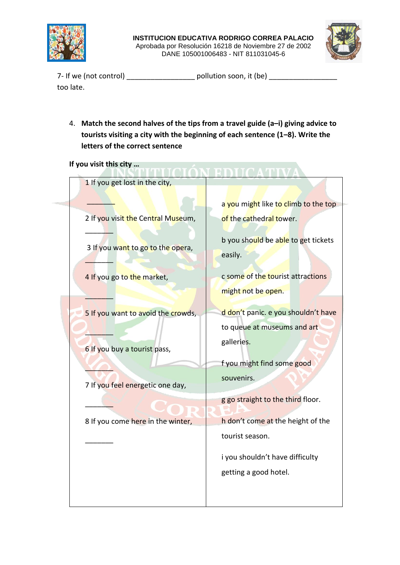

the control of the control of the



7- If we (not control) \_\_\_\_\_\_\_\_\_\_\_\_\_\_\_\_\_\_\_\_\_\_\_ pollution soon, it (be) \_\_\_\_\_\_\_\_\_\_\_\_\_\_\_\_ too late.

4. **Match the second halves of the tips from a travel guide (a–i) giving advice to tourists visiting a city with the beginning of each sentence (1–8). Write the letters of the correct sentence**

**If you visit this city …** 

| 1 If you get lost in the city,                                     |                                                                                  |
|--------------------------------------------------------------------|----------------------------------------------------------------------------------|
|                                                                    | a you might like to climb to the top                                             |
| 2 If you visit the Central Museum,                                 | of the cathedral tower.                                                          |
| 3 If you want to go to the opera,                                  | b you should be able to get tickets<br>easily.                                   |
| 4 If you go to the market,                                         | c some of the tourist attractions                                                |
|                                                                    | might not be open.                                                               |
| 5 If you want to avoid the crowds,<br>6 If you buy a tourist pass, | d don't panic. e you shouldn't have<br>to queue at museums and art<br>galleries. |
| 7 If you feel energetic one day,                                   | f you might find some good<br>souvenirs.                                         |
|                                                                    | g go straight to the third floor.                                                |
| 8 If you come here in the winter,                                  | h don't come at the height of the                                                |
|                                                                    | tourist season.                                                                  |
|                                                                    | i you shouldn't have difficulty<br>getting a good hotel.                         |